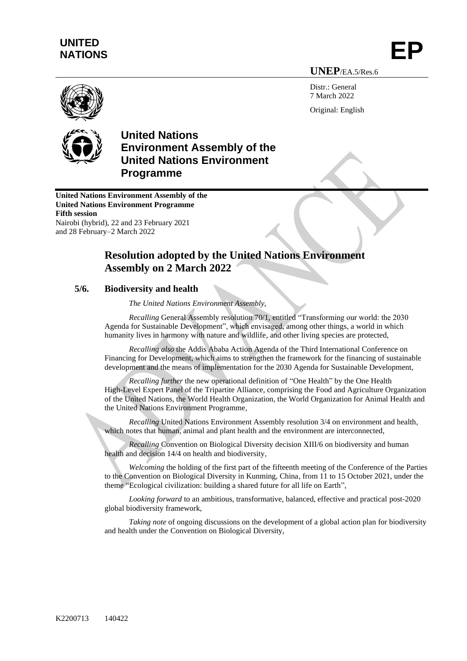## **UNITED**  UNITED<br>NATIONS **EP**

**UNEP**/EA.5/Res.6

Distr · General 7 March 2022 Original: English



## **United Nations Environment Assembly of the United Nations Environment Programme**

**United Nations Environment Assembly of the United Nations Environment Programme Fifth session** Nairobi (hybrid), 22 and 23 February 2021 and 28 February–2 March 2022

## **Resolution adopted by the United Nations Environment Assembly on 2 March 2022**

## **5/6. Biodiversity and health**

*The United Nations Environment Assembly,*

*Recalling* General Assembly resolution 70/1, entitled "Transforming our world: the 2030 Agenda for Sustainable Development", which envisaged, among other things, a world in which humanity lives in harmony with nature and wildlife, and other living species are protected,

*Recalling also* the Addis Ababa Action Agenda of the Third International Conference on Financing for Development, which aims to strengthen the framework for the financing of sustainable development and the means of implementation for the 2030 Agenda for Sustainable Development,

*Recalling further* the new operational definition of "One Health" by the One Health High-Level Expert Panel of the Tripartite Alliance, comprising the Food and Agriculture Organization of the United Nations, the World Health Organization, the World Organization for Animal Health and the United Nations Environment Programme,

*Recalling* United Nations Environment Assembly resolution 3/4 on environment and health, which notes that human, animal and plant health and the environment are interconnected,

*Recalling* Convention on Biological Diversity decision XIII/6 on biodiversity and human health and decision 14/4 on health and biodiversity,

*Welcoming* the holding of the first part of the fifteenth meeting of the Conference of the Parties to the Convention on Biological Diversity in Kunming, China, from 11 to 15 October 2021, under the theme "Ecological civilization: building a shared future for all life on Earth",

*Looking forward* to an ambitious, transformative, balanced, effective and practical post-2020 global biodiversity framework,

*Taking note* of ongoing discussions on the development of a global action plan for biodiversity and health under the Convention on Biological Diversity,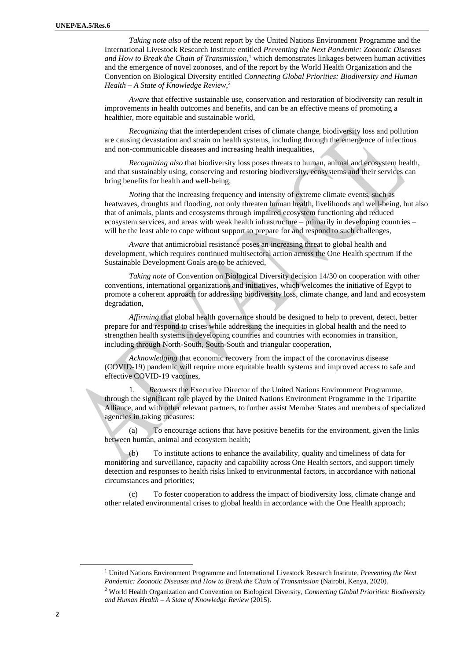*Taking note also* of the recent report by the United Nations Environment Programme and the International Livestock Research Institute entitled *Preventing the Next Pandemic: Zoonotic Diseases and How to Break the Chain of Transmission*, <sup>1</sup> which demonstrates linkages between human activities and the emergence of novel zoonoses, and of the report by the World Health Organization and the Convention on Biological Diversity entitled *Connecting Global Priorities: Biodiversity and Human Health – A State of Knowledge Review*, 2

*Aware* that effective sustainable use, conservation and restoration of biodiversity can result in improvements in health outcomes and benefits, and can be an effective means of promoting a healthier, more equitable and sustainable world,

*Recognizing* that the interdependent crises of climate change, biodiversity loss and pollution are causing devastation and strain on health systems, including through the emergence of infectious and non-communicable diseases and increasing health inequalities,

*Recognizing also* that biodiversity loss poses threats to human, animal and ecosystem health, and that sustainably using, conserving and restoring biodiversity, ecosystems and their services can bring benefits for health and well-being,

*Noting* that the increasing frequency and intensity of extreme climate events, such as heatwaves, droughts and flooding, not only threaten human health, livelihoods and well-being, but also that of animals, plants and ecosystems through impaired ecosystem functioning and reduced ecosystem services, and areas with weak health infrastructure – primarily in developing countries – will be the least able to cope without support to prepare for and respond to such challenges,

*Aware* that antimicrobial resistance poses an increasing threat to global health and development, which requires continued multisectoral action across the One Health spectrum if the Sustainable Development Goals are to be achieved,

*Taking note* of Convention on Biological Diversity decision 14/30 on cooperation with other conventions, international organizations and initiatives, which welcomes the initiative of Egypt to promote a coherent approach for addressing biodiversity loss, climate change, and land and ecosystem degradation,

*Affirming* that global health governance should be designed to help to prevent, detect, better prepare for and respond to crises while addressing the inequities in global health and the need to strengthen health systems in developing countries and countries with economies in transition, including through North-South, South-South and triangular cooperation,

*Acknowledging* that economic recovery from the impact of the coronavirus disease (COVID-19) pandemic will require more equitable health systems and improved access to safe and effective COVID-19 vaccines,

1. *Requests* the Executive Director of the United Nations Environment Programme, through the significant role played by the United Nations Environment Programme in the Tripartite Alliance, and with other relevant partners, to further assist Member States and members of specialized agencies in taking measures:

(a) To encourage actions that have positive benefits for the environment, given the links between human, animal and ecosystem health;

To institute actions to enhance the availability, quality and timeliness of data for monitoring and surveillance, capacity and capability across One Health sectors, and support timely detection and responses to health risks linked to environmental factors, in accordance with national circumstances and priorities;

(c) To foster cooperation to address the impact of biodiversity loss, climate change and other related environmental crises to global health in accordance with the One Health approach;

<sup>1</sup> United Nations Environment Programme and International Livestock Research Institute, *Preventing the Next Pandemic: Zoonotic Diseases and How to Break the Chain of Transmission* (Nairobi, Kenya, 2020).

<sup>2</sup> World Health Organization and Convention on Biological Diversity, *Connecting Global Priorities: Biodiversity and Human Health – A State of Knowledge Review* (2015).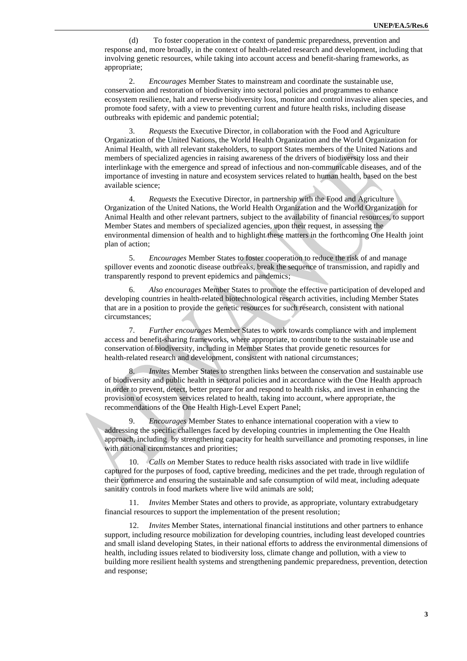(d) To foster cooperation in the context of pandemic preparedness, prevention and response and, more broadly, in the context of health-related research and development, including that involving genetic resources, while taking into account access and benefit-sharing frameworks, as appropriate;

2. *Encourages* Member States to mainstream and coordinate the sustainable use, conservation and restoration of biodiversity into sectoral policies and programmes to enhance ecosystem resilience, halt and reverse biodiversity loss, monitor and control invasive alien species, and promote food safety, with a view to preventing current and future health risks, including disease outbreaks with epidemic and pandemic potential;

3. *Requests* the Executive Director, in collaboration with the Food and Agriculture Organization of the United Nations, the World Health Organization and the World Organization for Animal Health, with all relevant stakeholders, to support States members of the United Nations and members of specialized agencies in raising awareness of the drivers of biodiversity loss and their interlinkage with the emergence and spread of infectious and non-communicable diseases, and of the importance of investing in nature and ecosystem services related to human health, based on the best available science;

4. *Requests* the Executive Director, in partnership with the Food and Agriculture Organization of the United Nations, the World Health Organization and the World Organization for Animal Health and other relevant partners, subject to the availability of financial resources, to support Member States and members of specialized agencies, upon their request, in assessing the environmental dimension of health and to highlight these matters in the forthcoming One Health joint plan of action;

5. *Encourages* Member States to foster cooperation to reduce the risk of and manage spillover events and zoonotic disease outbreaks, break the sequence of transmission, and rapidly and transparently respond to prevent epidemics and pandemics;

6. *Also encourages* Member States to promote the effective participation of developed and developing countries in health-related biotechnological research activities, including Member States that are in a position to provide the genetic resources for such research, consistent with national circumstances;

7. *Further encourages* Member States to work towards compliance with and implement access and benefit-sharing frameworks, where appropriate, to contribute to the sustainable use and conservation of biodiversity, including in Member States that provide genetic resources for health-related research and development, consistent with national circumstances;

*Invites* Member States to strengthen links between the conservation and sustainable use of biodiversity and public health in sectoral policies and in accordance with the One Health approach in order to prevent, detect, better prepare for and respond to health risks, and invest in enhancing the provision of ecosystem services related to health, taking into account, where appropriate, the recommendations of the One Health High-Level Expert Panel;

9. *Encourages* Member States to enhance international cooperation with a view to addressing the specific challenges faced by developing countries in implementing the One Health approach, including by strengthening capacity for health surveillance and promoting responses, in line with national circumstances and priorities;

10. *Calls on* Member States to reduce health risks associated with trade in live wildlife captured for the purposes of food, captive breeding, medicines and the pet trade, through regulation of their commerce and ensuring the sustainable and safe consumption of wild meat, including adequate sanitary controls in food markets where live wild animals are sold;

11. *Invites* Member States and others to provide, as appropriate, voluntary extrabudgetary financial resources to support the implementation of the present resolution;

12. *Invites* Member States, international financial institutions and other partners to enhance support, including resource mobilization for developing countries, including least developed countries and small island developing States, in their national efforts to address the environmental dimensions of health, including issues related to biodiversity loss, climate change and pollution, with a view to building more resilient health systems and strengthening pandemic preparedness, prevention, detection and response;